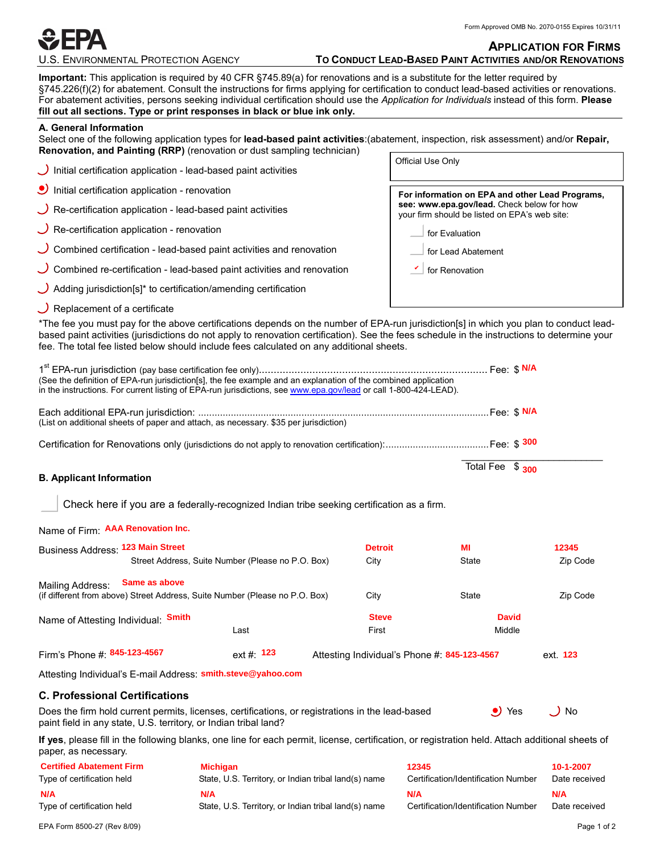

#### **APPLICATION FOR FIRMS**

| <b>U.S. ENVIRONMENTAL PROTECTION AGENCY</b> |
|---------------------------------------------|
|---------------------------------------------|

### **TO CONDUCT LEAD-BASED PAINT ACTIVITIES AND/OR RENOVATIONS**

**Important:** This application is required by 40 CFR §745.89(a) for renovations and is a substitute for the letter required by §745.226(f)(2) for abatement. Consult the instructions for firms applying for certification to conduct lead-based activities or renovations. For abatement activities, persons seeking individual certification should use the *Application for Individuals* instead of this form. **Please fill out all sections. Type or print responses in black or blue ink only.**

#### **A. General Information**

Select one of the following application types for **lead-based paint activities**:(abatement, inspection, risk assessment) and/or **Repair, Renovation, and Painting (RRP)** (renovation or dust sampling technician) Official Use Only

| Initial certification application - lead-based paint activities               | <u>ວກາວເຜເວວວວັກາ</u>                                                                       |
|-------------------------------------------------------------------------------|---------------------------------------------------------------------------------------------|
| $\bullet$ Initial certification application - renovation                      | For information on EPA and other Lead Programs,                                             |
| $\bigcup$ Re-certification application - lead-based paint activities          | see: www.epa.gov/lead. Check below for how<br>your firm should be listed on EPA's web site: |
| $\bigcup$ Re-certification application - renovation                           | for Evaluation                                                                              |
| $\cup$ Combined certification - lead-based paint activities and renovation    | for Lead Abatement                                                                          |
| $\cup$ Combined re-certification - lead-based paint activities and renovation | $\mathbf{v}$ for Renovation                                                                 |
| $\bigcup$ Adding jurisdiction[s]* to certification/amending certification     |                                                                                             |
| $\bigcup$ Replacement of a certificate                                        |                                                                                             |

\*The fee you must pay for the above certifications depends on the number of EPA-run jurisdiction[s] in which you plan to conduct leadbased paint activities (jurisdictions do not apply to renovation certification). See the fees schedule in the instructions to determine your fee. The total fee listed below should include fees calculated on any additional sheets.

| (See the definition of EPA-run jurisdiction[s], the fee example and an explanation of the combined application<br>in the instructions. For current listing of EPA-run jurisdictions, see www.epa.gov/lead or call 1-800-424-LEAD). |                                                      |                |                                              |               |
|------------------------------------------------------------------------------------------------------------------------------------------------------------------------------------------------------------------------------------|------------------------------------------------------|----------------|----------------------------------------------|---------------|
| (List on additional sheets of paper and attach, as necessary. \$35 per jurisdiction)                                                                                                                                               |                                                      |                |                                              |               |
|                                                                                                                                                                                                                                    |                                                      |                |                                              |               |
| <b>B.</b> Applicant Information                                                                                                                                                                                                    |                                                      |                | Total Fee \$ 300                             |               |
| Check here if you are a federally-recognized Indian tribe seeking certification as a firm.                                                                                                                                         |                                                      |                |                                              |               |
| Name of Firm: AAA Renovation Inc.                                                                                                                                                                                                  |                                                      |                |                                              |               |
| Business Address: 123 Main Street                                                                                                                                                                                                  |                                                      | <b>Detroit</b> | MI                                           | 12345         |
|                                                                                                                                                                                                                                    | Street Address, Suite Number (Please no P.O. Box)    | City           | State                                        | Zip Code      |
| Same as above<br>Mailing Address:<br>(if different from above) Street Address, Suite Number (Please no P.O. Box)                                                                                                                   |                                                      | City           | <b>State</b>                                 | Zip Code      |
| Name of Attesting Individual: Smith                                                                                                                                                                                                |                                                      | <b>Steve</b>   | <b>David</b>                                 |               |
|                                                                                                                                                                                                                                    | Last                                                 | First          | Middle                                       |               |
| Firm's Phone #: 845-123-4567                                                                                                                                                                                                       | $ext{f}$ 123                                         |                | Attesting Individual's Phone #: 845-123-4567 | ext. 123      |
| Attesting Individual's E-mail Address: smith.steve@yahoo.com                                                                                                                                                                       |                                                      |                |                                              |               |
| <b>C. Professional Certifications</b>                                                                                                                                                                                              |                                                      |                |                                              |               |
| Does the firm hold current permits, licenses, certifications, or registrations in the lead-based<br>paint field in any state, U.S. territory, or Indian tribal land?                                                               |                                                      |                | $\bullet$ Yes                                | $\cup$ No     |
| If yes, please fill in the following blanks, one line for each permit, license, certification, or registration held. Attach additional sheets of<br>paper, as necessary.                                                           |                                                      |                |                                              |               |
| <b>Certified Abatement Firm</b>                                                                                                                                                                                                    | <b>Michigan</b>                                      |                | 12345                                        | 10-1-2007     |
| Type of certification held                                                                                                                                                                                                         | State, U.S. Territory, or Indian tribal land(s) name |                | Certification/Identification Number          | Date received |

| <b>Certified Abatement Firm</b> | <b>Michigan</b>                                      | 12345                               | 10-1-2007     |
|---------------------------------|------------------------------------------------------|-------------------------------------|---------------|
| Type of certification held      | State, U.S. Territory, or Indian tribal land(s) name | Certification/Identification Number | Date received |
| N/A                             | N/A                                                  | N/A                                 | N/A           |
| Type of certification held      | State, U.S. Territory, or Indian tribal land(s) name | Certification/Identification Number | Date received |

EPA Form 8500-27 (Rev 8/09) Page 1 of 2